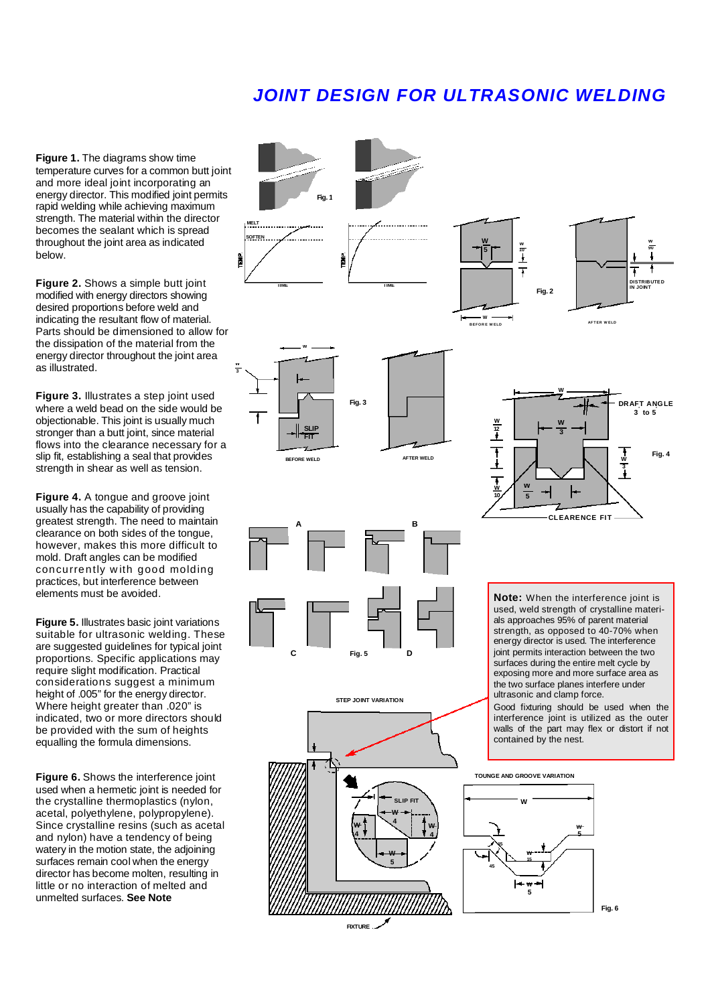## **JOINT DESIGN FOR ULTRASONIC WELDING**

**Figure 1.** The diagrams show time temperature curves for a common butt joint and more ideal joint incorporating an energy director. This modified joint permits rapid welding while achieving maximum strength. The material within the director becomes the sealant which is spread throughout the joint area as indicated below.

**Figure 2.** Shows a simple butt joint modified with energy directors showing desired proportions before weld and indicating the resultant flow of material. Parts should be dimensioned to allow for the dissipation of the material from the energy director throughout the joint area as illustrated.

**Figure 3.** Illustrates a step joint used where a weld bead on the side would be objectionable. This joint is usually much stronger than a butt joint, since material flows into the clearance necessary for a slip fit, establishing a seal that provides strength in shear as well as tension.

**Figure 4.** A tongue and groove joint usually has the capability of providing greatest strength. The need to maintain clearance on both sides of the tongue, however, makes this more difficult to mold. Draft angles can be modified concurrently with good molding practices, but interference between elements must be avoided.

**Figure 5. Illustrates basic joint variations** suitable for ultrasonic welding. These are suggested guidelines for typical joint proportions. Specific applications may require slight modification. Practical considerations suggest a minimum height of .005" for the energy director. Where height greater than .020" is indicated, two or more directors should be provided with the sum of heights equalling the formula dimensions.

**Figure 6.** Shows the interference joint used when a hermetic joint is needed for the crystalline thermoplastics (nylon, acetal, polyethylene, polypropylene). Since crystalline resins (such as acetal and nylon) have a tendency of being watery in the motion state, the adjoining surfaces remain cool when the energy director has become molten, resulting in little or no interaction of melted and unmelted surfaces. **See Note** 



**FIXTURE** 

**Fig. 6**

**5**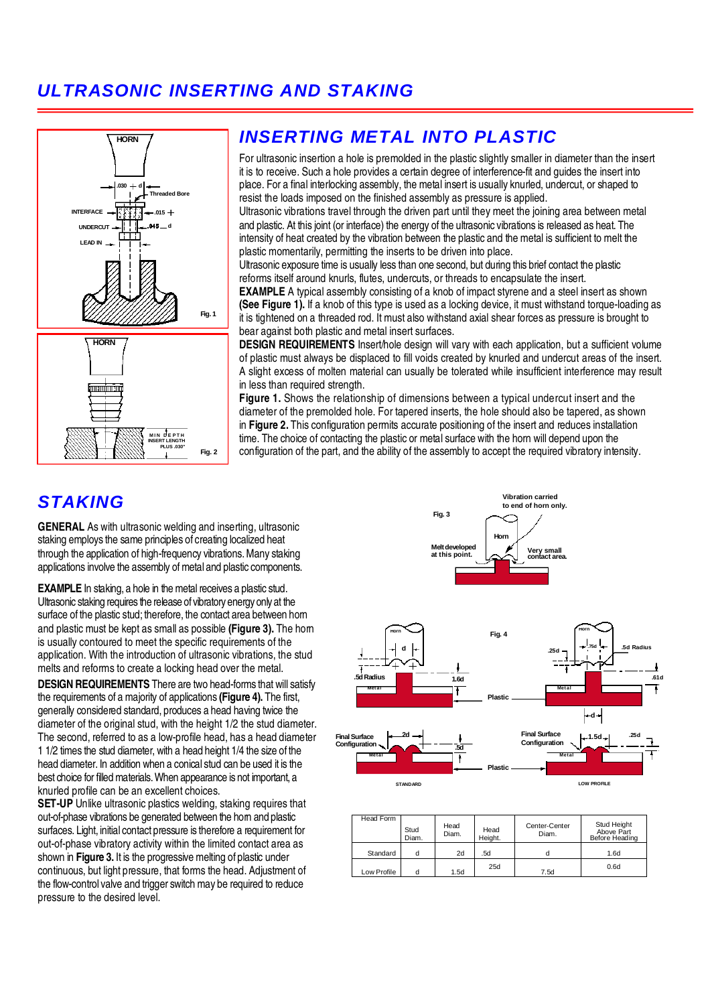# **ULTRASONIC INSERTING AND STAKING**



## **INSERTING METAL INTO PLASTIC**

For ultrasonic insertion a hole is premolded in the plastic slightly smaller in diameter than the insert it is to receive. Such a hole provides a certain degree of interference-fit and guides the insert into place. For a final interlocking assembly, the metal insert is usually knurled, undercut, or shaped to resist the loads imposed on the finished assembly as pressure is applied.

Ultrasonic vibrations travel through the driven part until they meet the joining area between metal and plastic. At this joint (or interface) the energy of the ultrasonic vibrations is released as heat. The intensity of heat created by the vibration between the plastic and the metal is sufficient to melt the plastic momentarily, permitting the inserts to be driven into place.

Ultrasonic exposure time is usually less than one second, but during this brief contact the plastic reforms itself around knurls, flutes, undercuts, or threads to encapsulate the insert.

**EXAMPLE** A typical assembly consisting of a knob of impact styrene and a steel insert as shown **(See Figure 1).** If a knob of this type is used as a locking device, it must withstand torque-loading as it is tightened on a threaded rod. It must also withstand axial shear forces as pressure is brought to bear against both plastic and metal insert surfaces.

**DESIGN REQUIREMENTS** Insert/hole design will vary with each application, but a sufficient volume of plastic must always be displaced to fill voids created by knurled and undercut areas of the insert. A slight excess of molten material can usually be tolerated while insufficient interference may result in less than required strength.

**Figure 1.** Shows the relationship of dimensions between a typical undercut insert and the diameter of the premolded hole. For tapered inserts, the hole should also be tapered, as shown in **Figure 2.** This configuration permits accurate positioning of the insert and reduces installation time. The choice of contacting the plastic or metal surface with the horn will depend upon the configuration of the part, and the ability of the assembly to accept the required vibratory intensity.

### **STAKING**

**GENERAL** As with ultrasonic welding and inserting, ultrasonic staking employs the same principles of creating localized heat through the application of high-frequency vibrations. Many staking applications involve the assembly of metal and plastic components.

**EXAMPLE** In staking, a hole in the metal receives a plastic stud. Ultrasonic staking requires the release of vibratory energy only at the surface of the plastic stud; therefore, the contact area between horn and plastic must be kept as small as possible **(Figure 3).** The horn is usually contoured to meet the specific requirements of the application. With the introduction of ultrasonic vibrations, the stud melts and reforms to create a locking head over the metal.

**DESIGN REQUIREMENTS** There are two head-forms that will satisfy the requirements of a majority of applications **(Figure 4).** The first, generally considered standard, produces a head having twice the diameter of the original stud, with the height 1/2 the stud diameter. The second, referred to as a low-profile head, has a head diameter 1 1/2 times the stud diameter, with a head height 1/4 the size of the head diameter. In addition when a conical stud can be used it is the best choice for filled materials. When appearance is not important, a knurled profile can be an excellent choices.

**SET-UP** Unlike ultrasonic plastics welding, staking requires that out-of-phase vibrations be generated between the horn and plastic surfaces. Light, initial contact pressure is therefore a requirement for out-of-phase vibratory activity within the limited contact area as shown in **Figure 3.** It is the progressive melting of plastic under continuous, but light pressure, that forms the head. Adjustment of the flow-control valve and trigger switch may be required to reduce pressure to the desired level.



**Vibration carried to end of horn only.** 

| Head Form   | Stud  | Head<br>Diam. | Head    | Center-Center<br>Diam. | Stud Height<br>Above Part |
|-------------|-------|---------------|---------|------------------------|---------------------------|
|             | Diam. |               | Height. |                        | Before Heading            |
| Standard    |       | 2d            | .5d     |                        | 1.6d                      |
| Low Profile |       | 1.5d          | 25d     | 7.5d                   | 0.6d                      |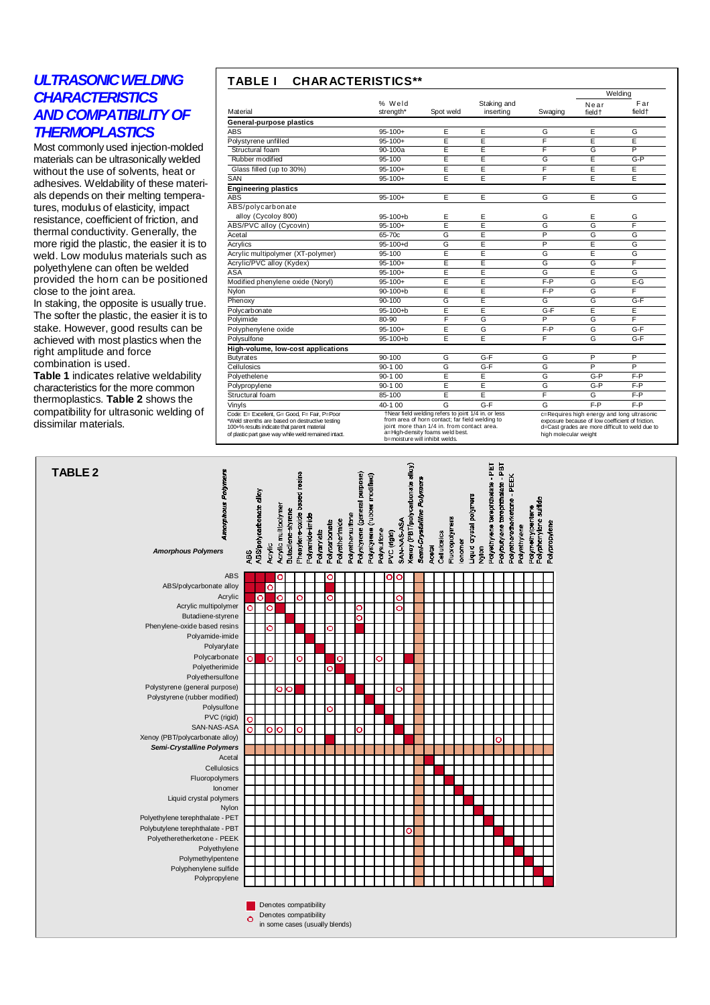### **ULTRASONIC WELDING CHARACTERISTICS AND COMPATIBILITY OF THERMOPLASTICS**

Most commonly used injection-molded materials can be ultrasonically welded without the use of solvents, heat or adhesives. Weldability of these materials depends on their melting temperatures, modulus of elasticity, impact resistance, coefficient of friction, and thermal conductivity. Generally, the more rigid the plastic, the easier it is to weld. Low modulus materials such as polyethylene can often be welded provided the horn can be positioned close to the joint area.

In staking, the opposite is usually true. The softer the plastic, the easier it is to stake. However, good results can be achieved with most plastics when the right amplitude and force combination is used.

**Table 1** indicates relative weldability characteristics for the more common thermoplastics. **Table 2** shows the compatibility for ultrasonic welding of dissimilar materials.

### **TABLE I CHARACTERISTICS\*\***

|                                                                                                                                                                                                        |                     |                                                                                                                                                                                                                                                                                                                                                                                                         |                          |         |                 | Welding                   |
|--------------------------------------------------------------------------------------------------------------------------------------------------------------------------------------------------------|---------------------|---------------------------------------------------------------------------------------------------------------------------------------------------------------------------------------------------------------------------------------------------------------------------------------------------------------------------------------------------------------------------------------------------------|--------------------------|---------|-----------------|---------------------------|
| Material                                                                                                                                                                                               | % Weld<br>strength* | Spot weld                                                                                                                                                                                                                                                                                                                                                                                               | Staking and<br>inserting | Swaging | Near<br>field + | Far<br>field <sup>+</sup> |
| General-purpose plastics                                                                                                                                                                               |                     |                                                                                                                                                                                                                                                                                                                                                                                                         |                          |         |                 |                           |
| <b>ABS</b>                                                                                                                                                                                             | $95 - 100 +$        | E                                                                                                                                                                                                                                                                                                                                                                                                       | E                        | G       | Е               | G                         |
| Polystyrene unfilled                                                                                                                                                                                   | $95 - 100 +$        | E                                                                                                                                                                                                                                                                                                                                                                                                       | E                        | F       | E               | Ε                         |
| Structural foam                                                                                                                                                                                        | 90-100a             | E                                                                                                                                                                                                                                                                                                                                                                                                       | E                        | F       | G               | P                         |
| Rubber modified                                                                                                                                                                                        | 95-100              | E                                                                                                                                                                                                                                                                                                                                                                                                       | E                        | G       | E               | $G-P$                     |
| Glass filled (up to 30%)                                                                                                                                                                               | $95 - 100 +$        | E                                                                                                                                                                                                                                                                                                                                                                                                       | E                        | F       | E               | E                         |
| SAN                                                                                                                                                                                                    | $95 - 100 +$        | E                                                                                                                                                                                                                                                                                                                                                                                                       | E                        | F       | E               | E                         |
| <b>Engineering plastics</b>                                                                                                                                                                            |                     |                                                                                                                                                                                                                                                                                                                                                                                                         |                          |         |                 |                           |
| ABS                                                                                                                                                                                                    | $95 - 100 +$        | E                                                                                                                                                                                                                                                                                                                                                                                                       | E                        | G       | E               | G                         |
| ABS/polycarbonate                                                                                                                                                                                      |                     |                                                                                                                                                                                                                                                                                                                                                                                                         |                          |         |                 |                           |
| alloy (Cycoloy 800)                                                                                                                                                                                    | $95-100 + b$        | E                                                                                                                                                                                                                                                                                                                                                                                                       | Ε                        | G       | Е               | G                         |
| ABS/PVC alloy (Cycovin)                                                                                                                                                                                | $95 - 100 +$        | Ē                                                                                                                                                                                                                                                                                                                                                                                                       | Ē                        | G       | G               | F                         |
| Acetal                                                                                                                                                                                                 | 65-70c              | G                                                                                                                                                                                                                                                                                                                                                                                                       | E                        | P       | G               | G                         |
| Acrylics                                                                                                                                                                                               | $95-100+d$          | G                                                                                                                                                                                                                                                                                                                                                                                                       | Ē                        | P       | E               | G                         |
| Acrylic multipolymer (XT-polymer)                                                                                                                                                                      | 95-100              | Ē                                                                                                                                                                                                                                                                                                                                                                                                       | Ē                        | G       | Ē               | G                         |
| Acrylic/PVC alloy (Kydex)                                                                                                                                                                              | $95 - 100 +$        | E                                                                                                                                                                                                                                                                                                                                                                                                       | E                        | G       | G               | F                         |
| ASA                                                                                                                                                                                                    | $95 - 100 +$        | E                                                                                                                                                                                                                                                                                                                                                                                                       | Ē                        | G       | Ē               | G                         |
| Modified phenylene oxide (Noryl)                                                                                                                                                                       | $95 - 100 +$        | Ē                                                                                                                                                                                                                                                                                                                                                                                                       | Ē                        | $F - P$ | G               | $E-G$                     |
| Nylon                                                                                                                                                                                                  | $90 - 100 + b$      | Ē                                                                                                                                                                                                                                                                                                                                                                                                       | Ē                        | $F - P$ | G               | F                         |
| Phenoxy                                                                                                                                                                                                | 90-100              | G                                                                                                                                                                                                                                                                                                                                                                                                       | Ē                        | G       | G               | $G-F$                     |
| Polycarbonate                                                                                                                                                                                          | $95 - 100 + b$      | E                                                                                                                                                                                                                                                                                                                                                                                                       | E                        | $G-F$   | E               | E                         |
| Polyimide                                                                                                                                                                                              | 80-90               | F                                                                                                                                                                                                                                                                                                                                                                                                       | G                        | P       | G               | F                         |
| Polyphenylene oxide                                                                                                                                                                                    | $95 - 100 +$        | Ē                                                                                                                                                                                                                                                                                                                                                                                                       | G                        | $F - P$ | G               | $G-F$                     |
| Polysulfone                                                                                                                                                                                            | $95 - 100 + b$      | E                                                                                                                                                                                                                                                                                                                                                                                                       | E                        | F       | G               | $G-F$                     |
| High-volume, low-cost applications                                                                                                                                                                     |                     |                                                                                                                                                                                                                                                                                                                                                                                                         |                          |         |                 |                           |
| <b>Butyrates</b>                                                                                                                                                                                       | 90-100              | G                                                                                                                                                                                                                                                                                                                                                                                                       | G-F                      | G       | P               | P                         |
| Cellulosics                                                                                                                                                                                            | $90-100$            | G                                                                                                                                                                                                                                                                                                                                                                                                       | $G-F$                    | G       | P               | P                         |
| Polyethelene                                                                                                                                                                                           | $90-100$            | E                                                                                                                                                                                                                                                                                                                                                                                                       | E                        | G       | $G-P$           | $F - P$                   |
| Polypropylene                                                                                                                                                                                          | 90-1 00             | E                                                                                                                                                                                                                                                                                                                                                                                                       | E                        | G       | $G-P$           | F-P                       |
| Structural foam                                                                                                                                                                                        | 85-100              | E                                                                                                                                                                                                                                                                                                                                                                                                       | E                        | F       | G               | $F - P$                   |
| Vinyls                                                                                                                                                                                                 | 40-1 00             | G                                                                                                                                                                                                                                                                                                                                                                                                       | $G-F$                    | G       | $F - P$         | F-P                       |
| Code: E= Excellent, G= Good, F= Fair, P=Poor<br>*Weld strenths are based on destructive testing<br>100+% results indicate that parent material<br>of plastic part gave way while weld remained intact. |                     | †Near field welding refers to joint 1/4 in. or less<br>c=Requires high energy and long ultrasonic<br>from area of horn contact; far field welding to<br>exposure because of low coefficient of friction.<br>joint more than 1/4 in. from contact area.<br>d=Cast grades are more difficult to weld due to<br>a=High-density foams weld best.<br>high molecular weight<br>b=moisture will inhibit welds. |                          |         |                 |                           |